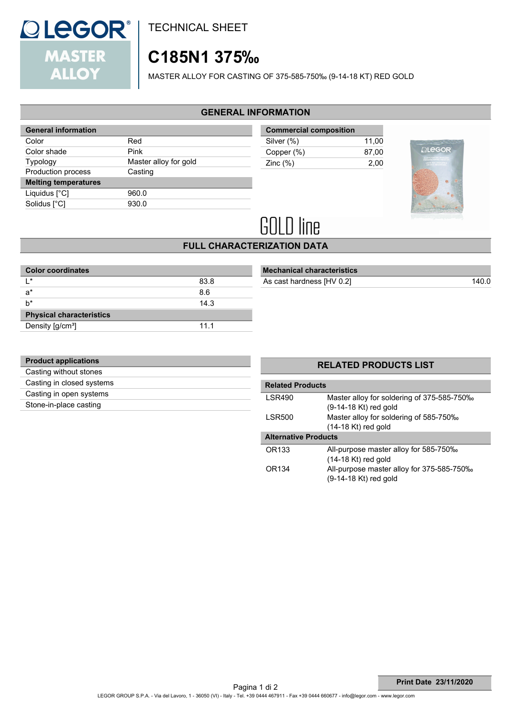

TECHNICAL SHEET

# **C185N1 375‰**

MASTER ALLOY FOR CASTING OF 375-585-750‰ (9-14-18 KT) RED GOLD

### **GENERAL INFORMATION**

| <b>General information</b>  |                       |
|-----------------------------|-----------------------|
| Color                       | Red                   |
| Color shade                 | Pink                  |
| Typology                    | Master alloy for gold |
| <b>Production process</b>   | Casting               |
| <b>Melting temperatures</b> |                       |
| Liquidus $[^{\circ}C]$      | 960.0                 |
| Solidus [°C]                | 930.0                 |
|                             |                       |

| <b>Commercial composition</b> |       |
|-------------------------------|-------|
| Silver (%)                    | 11.00 |
| Copper (%)                    | 87.00 |
| Zinc $(\%)$                   | 2.00  |
|                               |       |



# **GOLD line**

## **FULL CHARACTERIZATION DATA**

| 83.8 |  |
|------|--|
| 8.6  |  |
| 14.3 |  |
|      |  |
| 11.1 |  |
|      |  |

|  | <b>Mechanical characteristics</b> |  |
|--|-----------------------------------|--|
|  |                                   |  |

As cast hardness [HV 0.2]

| <b>Product applications</b> |  |
|-----------------------------|--|
| Casting without stones      |  |
| Casting in closed systems   |  |
| Casting in open systems     |  |
| Stone-in-place casting      |  |
|                             |  |

## **RELATED PRODUCTS LIST**

| <b>Related Products</b>     |                                            |  |
|-----------------------------|--------------------------------------------|--|
| <b>LSR490</b>               | Master alloy for soldering of 375-585-750% |  |
|                             | (9-14-18 Kt) red gold                      |  |
| <b>LSR500</b>               | Master alloy for soldering of 585-750‰     |  |
|                             | $(14-18$ Kt) red gold                      |  |
| <b>Alternative Products</b> |                                            |  |
| OR133                       | All-purpose master alloy for 585-750‰      |  |
|                             | $(14-18$ Kt) red gold                      |  |
| OR134                       | All-purpose master alloy for 375-585-750%  |  |
|                             | (9-14-18 Kt) red gold                      |  |